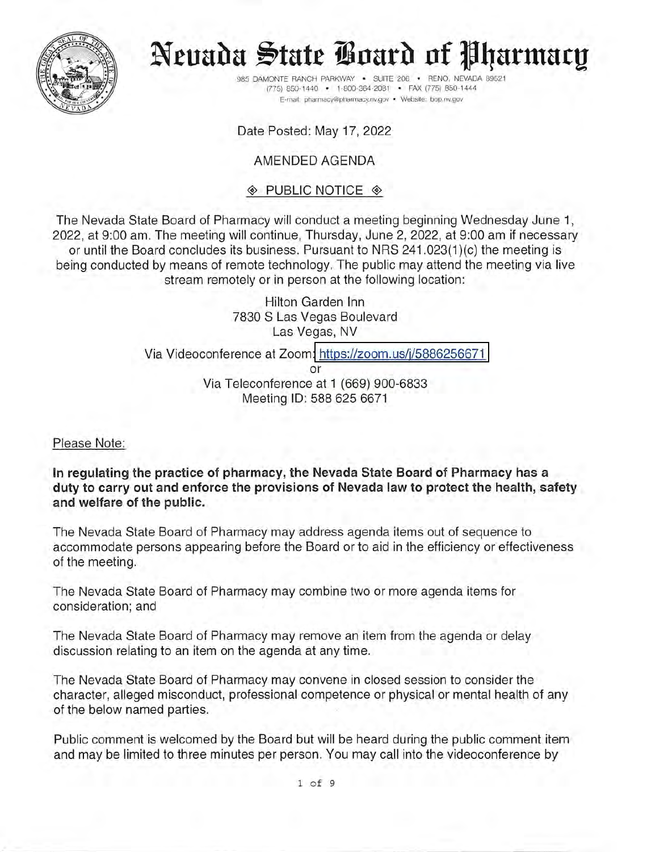

# Nevada State Board of Pharmacy

985 DAMONTE RANCH PARKWAY (775) 850-1440 • 1-800-364-2081 • FAX (775) 850-1444 E-mail: pharmacy@pharmacy.nv.gov . Website: bop.nv.gov

Date Posted: May 17, 2022

# AMENDED AGENDA

## ◈ PUBLIC NOTICE ◈

The Nevada State Board of Pharmacy will conduct a meeting beginning Wednesday June 1, 2022, at 9:00 am. The meeting will continue, Thursday, June 2, 2022, at 9:00 am if necessary or until the Board concludes its business. Pursuant to NRS 241.023(1)(c) the meeting is being conducted by means of remote technology. The public may attend the meeting via live stream remotely or in person at the following location:

> Hilton Garden Inn 7830 S Las Vegas Boulevard Las Vegas, NV

Via Videoconference at Zoom: https://zoom.us/j/5886256671

 $\alpha$ r Via Teleconference at 1 (669) 900-6833 Meeting ID: 588 625 6671

Please Note:

In regulating the practice of pharmacy, the Nevada State Board of Pharmacy has a duty to carry out and enforce the provisions of Nevada law to protect the health, safety and welfare of the public.

The Nevada State Board of Pharmacy may address agenda items out of sequence to accommodate persons appearing before the Board or to aid in the efficiency or effectiveness of the meeting.

The Nevada State Board of Pharmacy may combine two or more agenda items for consideration; and

The Nevada State Board of Pharmacy may remove an item from the agenda or delay discussion relating to an item on the agenda at any time.

The Nevada State Board of Pharmacy may convene in closed session to consider the character, alleged misconduct, professional competence or physical or mental health of any of the below named parties.

Public comment is welcomed by the Board but will be heard during the public comment item and may be limited to three minutes per person. You may call into the videoconference by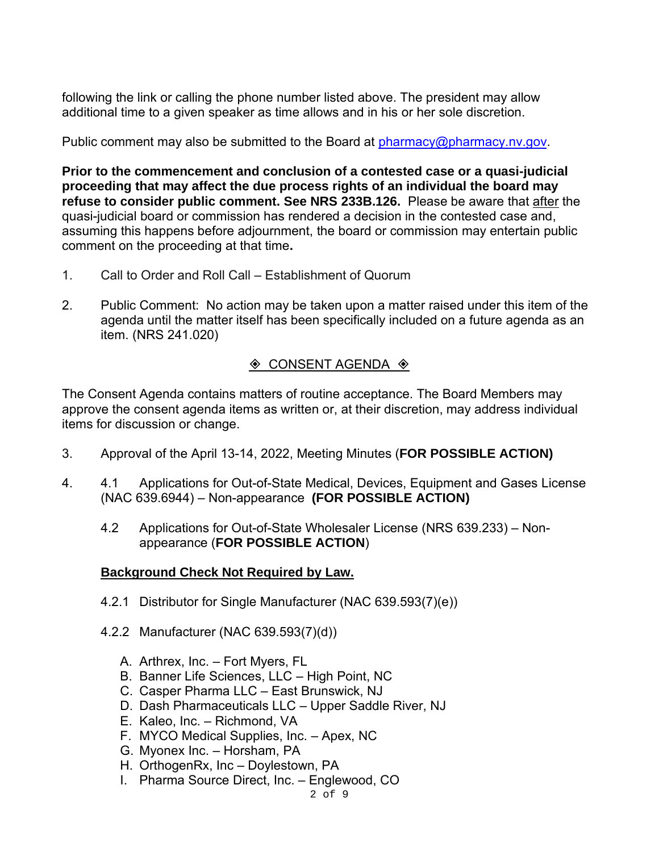following the link or calling the phone number listed above. The president may allow additional time to a given speaker as time allows and in his or her sole discretion.

Public comment may also be submitted to the Board at [pharmacy@pharmacy.nv.gov.](mailto:pharmacy@pharmacy.nv.gov)

**Prior to the commencement and conclusion of a contested case or a quasi-judicial proceeding that may affect the due process rights of an individual the board may refuse to consider public comment. See NRS 233B.126.** Please be aware that after the quasi-judicial board or commission has rendered a decision in the contested case and, assuming this happens before adjournment, the board or commission may entertain public comment on the proceeding at that time**.**

- 1. Call to Order and Roll Call Establishment of Quorum
- 2. Public Comment: No action may be taken upon a matter raised under this item of the agenda until the matter itself has been specifically included on a future agenda as an item. (NRS 241.020)

# $\Diamond$  CONSENT AGENDA  $\Diamond$

The Consent Agenda contains matters of routine acceptance. The Board Members may approve the consent agenda items as written or, at their discretion, may address individual items for discussion or change.

- 3. Approval of the April 13-14, 2022, Meeting Minutes (**FOR POSSIBLE ACTION)**
- 4. 4.1 Applications for Out-of-State Medical, Devices, Equipment and Gases License (NAC 639.6944) – Non-appearance **(FOR POSSIBLE ACTION)**
	- 4.2 Applications for Out-of-State Wholesaler License (NRS 639.233) Nonappearance (**FOR POSSIBLE ACTION**)

### **Background Check Not Required by Law.**

- 4.2.1 Distributor for Single Manufacturer (NAC 639.593(7)(e))
- 4.2.2 Manufacturer (NAC 639.593(7)(d))
	- A. Arthrex, Inc. Fort Myers, FL
	- B. Banner Life Sciences, LLC High Point, NC
	- C. Casper Pharma LLC East Brunswick, NJ
	- D. Dash Pharmaceuticals LLC Upper Saddle River, NJ
	- E. Kaleo, Inc. Richmond, VA
	- F. MYCO Medical Supplies, Inc. Apex, NC
	- G. Myonex Inc. Horsham, PA
	- H. OrthogenRx, Inc Doylestown, PA
	- I. Pharma Source Direct, Inc. Englewood, CO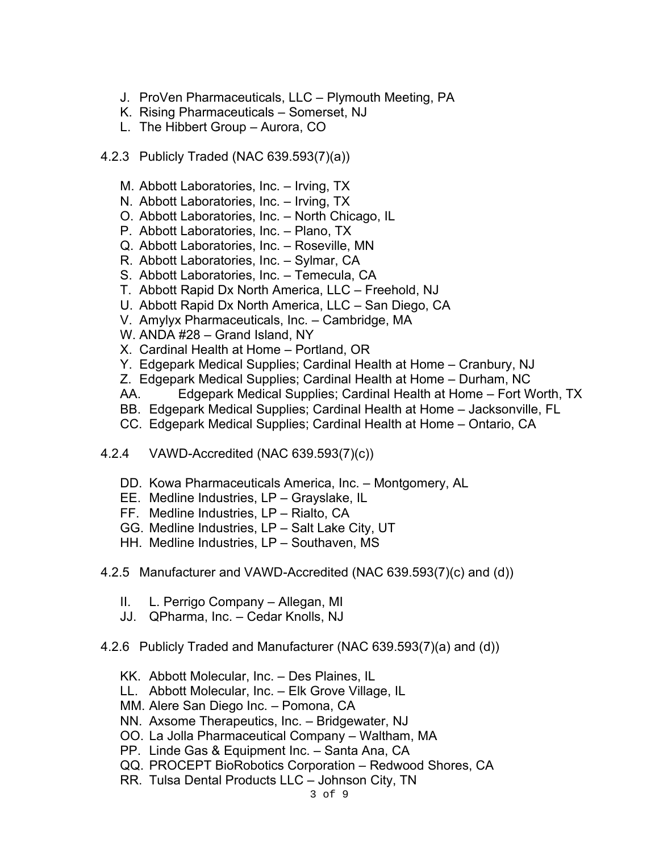- J. ProVen Pharmaceuticals, LLC Plymouth Meeting, PA
- K. Rising Pharmaceuticals Somerset, NJ
- L. The Hibbert Group Aurora, CO
- 4.2.3 Publicly Traded (NAC 639.593(7)(a))
	- M. Abbott Laboratories, Inc. Irving, TX
	- N. Abbott Laboratories, Inc. Irving, TX
	- O. Abbott Laboratories, Inc. North Chicago, IL
	- P. Abbott Laboratories, Inc. Plano, TX
	- Q. Abbott Laboratories, Inc. Roseville, MN
	- R. Abbott Laboratories, Inc. Sylmar, CA
	- S. Abbott Laboratories, Inc. Temecula, CA
	- T. Abbott Rapid Dx North America, LLC Freehold, NJ
	- U. Abbott Rapid Dx North America, LLC San Diego, CA
	- V. Amylyx Pharmaceuticals, Inc. Cambridge, MA
	- W. ANDA #28 Grand Island, NY
	- X. Cardinal Health at Home Portland, OR
	- Y. Edgepark Medical Supplies; Cardinal Health at Home Cranbury, NJ
	- Z. Edgepark Medical Supplies; Cardinal Health at Home Durham, NC
	- AA. Edgepark Medical Supplies; Cardinal Health at Home Fort Worth, TX
	- BB. Edgepark Medical Supplies; Cardinal Health at Home Jacksonville, FL
	- CC. Edgepark Medical Supplies; Cardinal Health at Home Ontario, CA
- 4.2.4 VAWD-Accredited (NAC 639.593(7)(c))
	- DD. Kowa Pharmaceuticals America, Inc. Montgomery, AL
	- EE. Medline Industries, LP Grayslake, IL
	- FF. Medline Industries, LP Rialto, CA
	- GG. Medline Industries, LP Salt Lake City, UT
	- HH. Medline Industries, LP Southaven, MS
- 4.2.5 Manufacturer and VAWD-Accredited (NAC 639.593(7)(c) and (d))
	- II. L. Perrigo Company Allegan, MI
	- JJ. QPharma, Inc. Cedar Knolls, NJ
- 4.2.6 Publicly Traded and Manufacturer (NAC 639.593(7)(a) and (d))
	- KK. Abbott Molecular, Inc. Des Plaines, IL
	- LL. Abbott Molecular, Inc. Elk Grove Village, IL
	- MM. Alere San Diego Inc. Pomona, CA
	- NN. Axsome Therapeutics, Inc. Bridgewater, NJ
	- OO. La Jolla Pharmaceutical Company Waltham, MA
	- PP. Linde Gas & Equipment Inc. Santa Ana, CA
	- QQ. PROCEPT BioRobotics Corporation Redwood Shores, CA
	- RR. Tulsa Dental Products LLC Johnson City, TN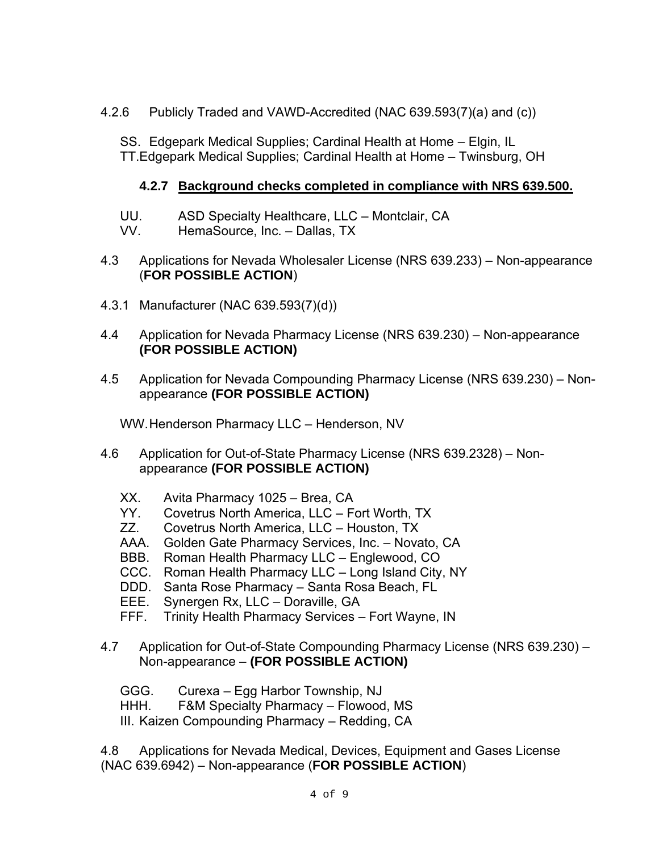4.2.6 Publicly Traded and VAWD-Accredited (NAC 639.593(7)(a) and (c))

SS. Edgepark Medical Supplies; Cardinal Health at Home – Elgin, IL TT.Edgepark Medical Supplies; Cardinal Health at Home – Twinsburg, OH

## **4.2.7 Background checks completed in compliance with NRS 639.500.**

- UU. ASD Specialty Healthcare, LLC Montclair, CA<br>VV. HemaSource Inc. Dallas TX
- HemaSource, Inc. Dallas, TX
- 4.3 Applications for Nevada Wholesaler License (NRS 639.233) Non-appearance (**FOR POSSIBLE ACTION**)
- 4.3.1 Manufacturer (NAC 639.593(7)(d))
- 4.4 Application for Nevada Pharmacy License (NRS 639.230) Non-appearance **(FOR POSSIBLE ACTION)**
- 4.5 Application for Nevada Compounding Pharmacy License (NRS 639.230) Nonappearance **(FOR POSSIBLE ACTION)**

WW.Henderson Pharmacy LLC – Henderson, NV

- 4.6 Application for Out-of-State Pharmacy License (NRS 639.2328) Nonappearance **(FOR POSSIBLE ACTION)**
	- XX. Avita Pharmacy 1025 Brea, CA
	- YY. Covetrus North America, LLC Fort Worth, TX<br>ZZ. Covetrus North America. LLC Houston. TX
	- Covetrus North America, LLC Houston, TX
	- AAA. Golden Gate Pharmacy Services, Inc. Novato, CA
	- BBB. Roman Health Pharmacy LLC Englewood, CO
	- CCC. Roman Health Pharmacy LLC Long Island City, NY
	- DDD. Santa Rose Pharmacy Santa Rosa Beach, FL
	- EEE. Synergen Rx, LLC Doraville, GA<br>FFF. Trinity Health Pharmacy Services -
	- Trinity Health Pharmacy Services Fort Wayne, IN
- 4.7 Application for Out-of-State Compounding Pharmacy License (NRS 639.230) Non-appearance – **(FOR POSSIBLE ACTION)**
	- GGG. Curexa Egg Harbor Township, NJ
	- HHH. F&M Specialty Pharmacy Flowood, MS
	- III. Kaizen Compounding Pharmacy Redding, CA

4.8 Applications for Nevada Medical, Devices, Equipment and Gases License (NAC 639.6942) – Non-appearance (**FOR POSSIBLE ACTION**)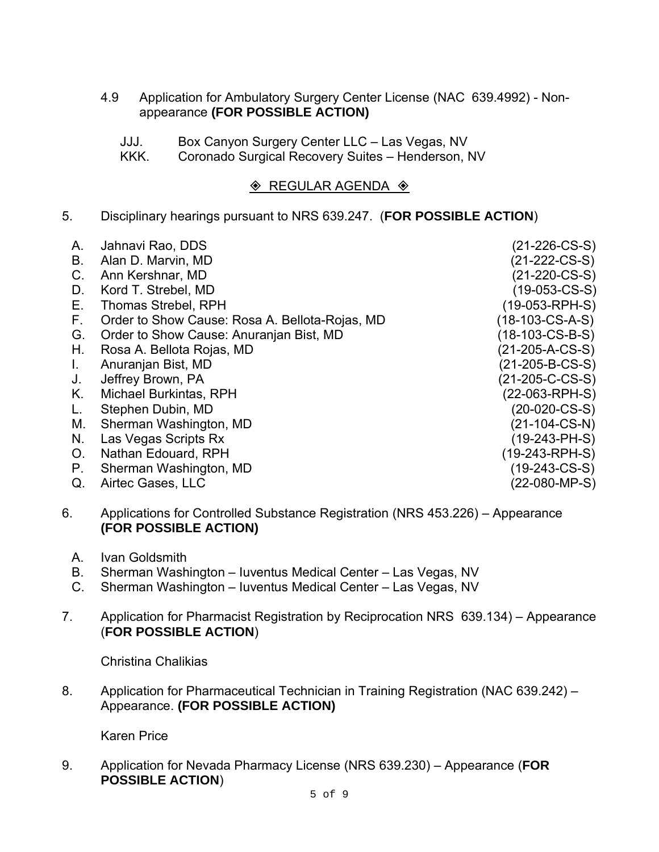4.9 Application for Ambulatory Surgery Center License (NAC 639.4992) - Nonappearance **(FOR POSSIBLE ACTION)**

JJJ. Box Canyon Surgery Center LLC – Las Vegas, NV

KKK. Coronado Surgical Recovery Suites – Henderson, NV

#### $\textcircled{*}$  REGULAR AGENDA  $\textcircled{*}$

5. Disciplinary hearings pursuant to NRS 639.247. (**FOR POSSIBLE ACTION**)

| А. | Jahnavi Rao, DDS                               | $(21-226$ -CS-S)   |
|----|------------------------------------------------|--------------------|
| В. | Alan D. Marvin, MD                             | $(21-222-CS-S)$    |
| C. | Ann Kershnar, MD                               | $(21-220$ -CS-S)   |
| D. | Kord T. Strebel, MD                            | $(19-053-CS-S)$    |
| Е. | <b>Thomas Strebel, RPH</b>                     | $(19-053-RPH-S)$   |
| F. | Order to Show Cause: Rosa A. Bellota-Rojas, MD | $(18-103$ -CS-A-S) |
| G. | Order to Show Cause: Anuranjan Bist, MD        | $(18-103-CS-B-S)$  |
| Η. | Rosa A. Bellota Rojas, MD                      | $(21-205-A-CS-S)$  |
| L. | Anuranjan Bist, MD                             | $(21-205-B-CS-S)$  |
| J. | Jeffrey Brown, PA                              | $(21-205-C-CS-S)$  |
| Κ. | <b>Michael Burkintas, RPH</b>                  | (22-063-RPH-S)     |
| L. | Stephen Dubin, MD                              | $(20-020$ -CS-S)   |
| М. | Sherman Washington, MD                         | $(21-104$ -CS-N)   |
| N. | Las Vegas Scripts Rx                           | $(19-243-PH-S)$    |
| O. | Nathan Edouard, RPH                            | (19-243-RPH-S)     |
| Р. | Sherman Washington, MD                         | $(19-243-CS-S)$    |
| Q. | Airtec Gases, LLC                              | $(22-080-MP-S)$    |
|    |                                                |                    |

- 6. Applications for Controlled Substance Registration (NRS 453.226) Appearance **(FOR POSSIBLE ACTION)**
	- A. Ivan Goldsmith
	- B. Sherman Washington Iuventus Medical Center Las Vegas, NV
	- C. Sherman Washington Iuventus Medical Center Las Vegas, NV
- 7. Application for Pharmacist Registration by Reciprocation NRS 639.134) Appearance (**FOR POSSIBLE ACTION**)

Christina Chalikias

8. Application for Pharmaceutical Technician in Training Registration (NAC 639.242) – Appearance. **(FOR POSSIBLE ACTION)**

Karen Price

9. Application for Nevada Pharmacy License (NRS 639.230) – Appearance (**FOR POSSIBLE ACTION**)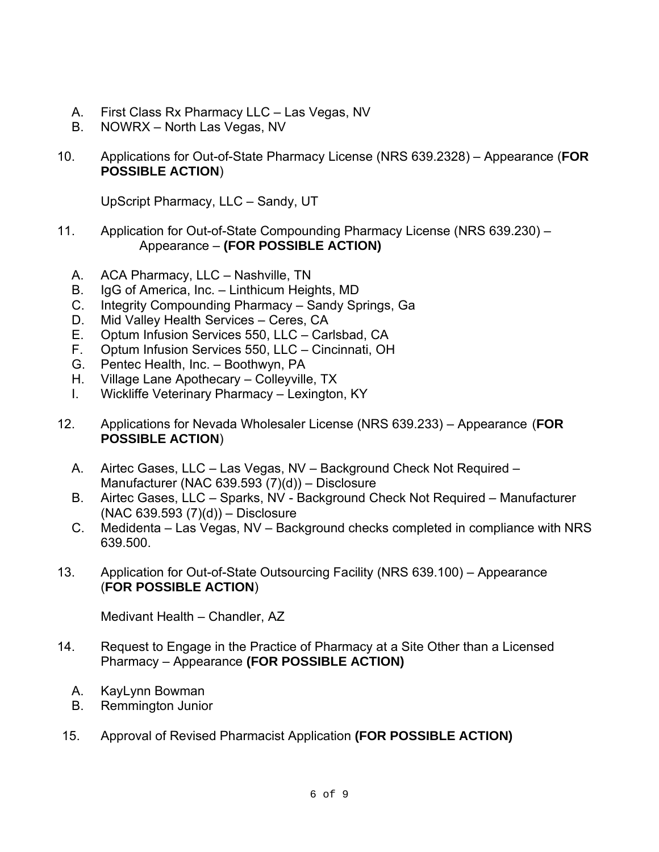- A. First Class Rx Pharmacy LLC Las Vegas, NV
- B. NOWRX North Las Vegas, NV
- 10. Applications for Out-of-State Pharmacy License (NRS 639.2328) Appearance (**FOR POSSIBLE ACTION**)

UpScript Pharmacy, LLC – Sandy, UT

- 11. Application for Out-of-State Compounding Pharmacy License (NRS 639.230) Appearance – **(FOR POSSIBLE ACTION)**
	- A. ACA Pharmacy, LLC Nashville, TN
	- B. IgG of America, Inc. Linthicum Heights, MD
	- C. Integrity Compounding Pharmacy Sandy Springs, Ga
	- D. Mid Valley Health Services Ceres, CA
	- E. Optum Infusion Services 550, LLC Carlsbad, CA
	- F. Optum Infusion Services 550, LLC Cincinnati, OH
	- G. Pentec Health, Inc. Boothwyn, PA
	- H. Village Lane Apothecary Colleyville, TX
	- I. Wickliffe Veterinary Pharmacy Lexington, KY
- 12. Applications for Nevada Wholesaler License (NRS 639.233) Appearance (**FOR POSSIBLE ACTION**)
	- A. Airtec Gases, LLC Las Vegas, NV Background Check Not Required Manufacturer (NAC 639.593 (7)(d)) – Disclosure
	- B. Airtec Gases, LLC Sparks, NV Background Check Not Required Manufacturer (NAC 639.593 (7)(d)) – Disclosure
	- C. Medidenta Las Vegas, NV Background checks completed in compliance with NRS 639.500.
- 13. Application for Out-of-State Outsourcing Facility (NRS 639.100) Appearance (**FOR POSSIBLE ACTION**)

Medivant Health – Chandler, AZ

- 14. Request to Engage in the Practice of Pharmacy at a Site Other than a Licensed Pharmacy – Appearance **(FOR POSSIBLE ACTION)**
	- A. KayLynn Bowman
	- B. Remmington Junior
- 15. Approval of Revised Pharmacist Application **(FOR POSSIBLE ACTION)**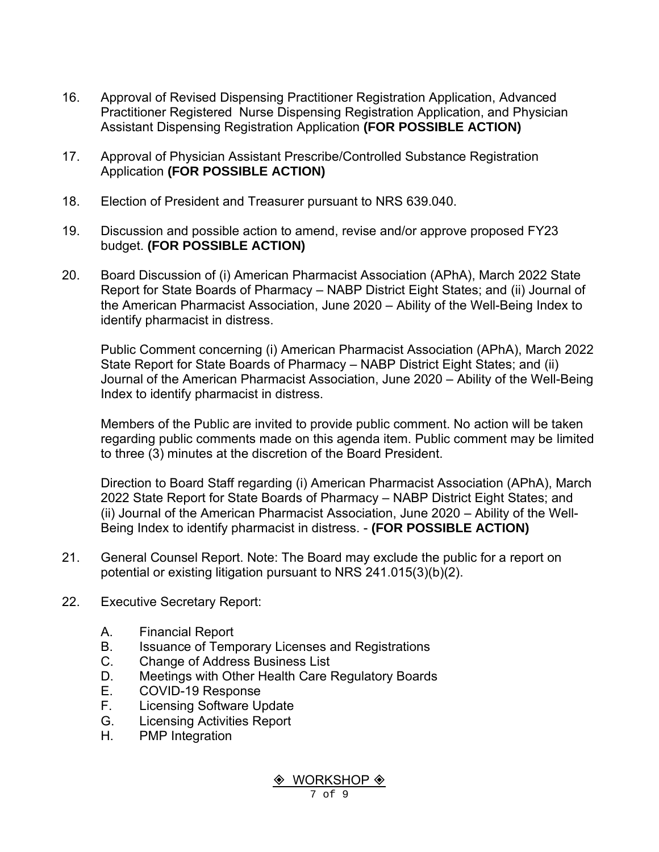- 16. Approval of Revised Dispensing Practitioner Registration Application, Advanced Practitioner Registered Nurse Dispensing Registration Application, and Physician Assistant Dispensing Registration Application **(FOR POSSIBLE ACTION)**
- 17. Approval of Physician Assistant Prescribe/Controlled Substance Registration Application **(FOR POSSIBLE ACTION)**
- 18. Election of President and Treasurer pursuant to NRS 639.040.
- 19. Discussion and possible action to amend, revise and/or approve proposed FY23 budget. **(FOR POSSIBLE ACTION)**
- 20. Board Discussion of (i) American Pharmacist Association (APhA), March 2022 State Report for State Boards of Pharmacy – NABP District Eight States; and (ii) Journal of the American Pharmacist Association, June 2020 – Ability of the Well-Being Index to identify pharmacist in distress.

Public Comment concerning (i) American Pharmacist Association (APhA), March 2022 State Report for State Boards of Pharmacy – NABP District Eight States; and (ii) Journal of the American Pharmacist Association, June 2020 – Ability of the Well-Being Index to identify pharmacist in distress.

Members of the Public are invited to provide public comment. No action will be taken regarding public comments made on this agenda item. Public comment may be limited to three (3) minutes at the discretion of the Board President.

Direction to Board Staff regarding (i) American Pharmacist Association (APhA), March 2022 State Report for State Boards of Pharmacy – NABP District Eight States; and (ii) Journal of the American Pharmacist Association, June 2020 – Ability of the Well-Being Index to identify pharmacist in distress. - **(FOR POSSIBLE ACTION)**

- 21. General Counsel Report. Note: The Board may exclude the public for a report on potential or existing litigation pursuant to NRS 241.015(3)(b)(2).
- 22. Executive Secretary Report:
	- A. Financial Report
	- B. Issuance of Temporary Licenses and Registrations
	- C. Change of Address Business List
	- D. Meetings with Other Health Care Regulatory Boards
	- E. COVID-19 Response
	- F. Licensing Software Update
	- G. Licensing Activities Report
	- H. PMP Integration

◈ WORKSHOP ◈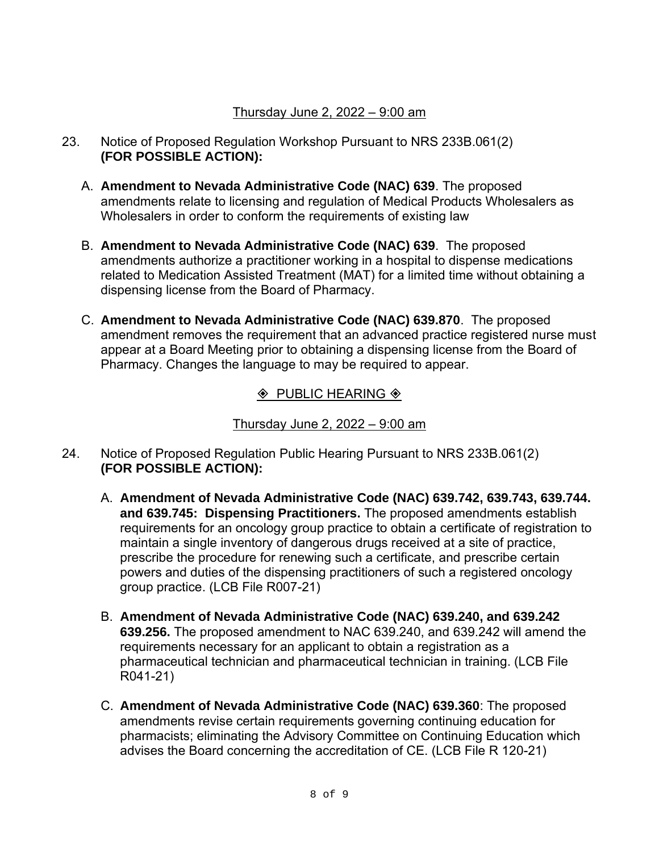#### Thursday June 2, 2022 – 9:00 am

- 23. Notice of Proposed Regulation Workshop Pursuant to NRS 233B.061(2) **(FOR POSSIBLE ACTION):**
	- A. **Amendment to Nevada Administrative Code (NAC) 639**. The proposed amendments relate to licensing and regulation of Medical Products Wholesalers as Wholesalers in order to conform the requirements of existing law
	- B. **Amendment to Nevada Administrative Code (NAC) 639**. The proposed amendments authorize a practitioner working in a hospital to dispense medications related to Medication Assisted Treatment (MAT) for a limited time without obtaining a dispensing license from the Board of Pharmacy.
	- C. **Amendment to Nevada Administrative Code (NAC) 639.870**. The proposed amendment removes the requirement that an advanced practice registered nurse must appear at a Board Meeting prior to obtaining a dispensing license from the Board of Pharmacy. Changes the language to may be required to appear.

### $\Diamond$  PUBLIC HEARING  $\Diamond$

#### Thursday June 2, 2022 – 9:00 am

- 24. Notice of Proposed Regulation Public Hearing Pursuant to NRS 233B.061(2) **(FOR POSSIBLE ACTION):**
	- A. **Amendment of Nevada Administrative Code (NAC) 639.742, 639.743, 639.744. and 639.745: Dispensing Practitioners.** The proposed amendments establish requirements for an oncology group practice to obtain a certificate of registration to maintain a single inventory of dangerous drugs received at a site of practice, prescribe the procedure for renewing such a certificate, and prescribe certain powers and duties of the dispensing practitioners of such a registered oncology group practice. (LCB File R007-21)
	- B. **Amendment of Nevada Administrative Code (NAC) 639.240, and 639.242 639.256.** The proposed amendment to NAC 639.240, and 639.242 will amend the requirements necessary for an applicant to obtain a registration as a pharmaceutical technician and pharmaceutical technician in training. (LCB File R041-21)
	- C. **Amendment of Nevada Administrative Code (NAC) 639.360**: The proposed amendments revise certain requirements governing continuing education for pharmacists; eliminating the Advisory Committee on Continuing Education which advises the Board concerning the accreditation of CE. (LCB File R 120-21)